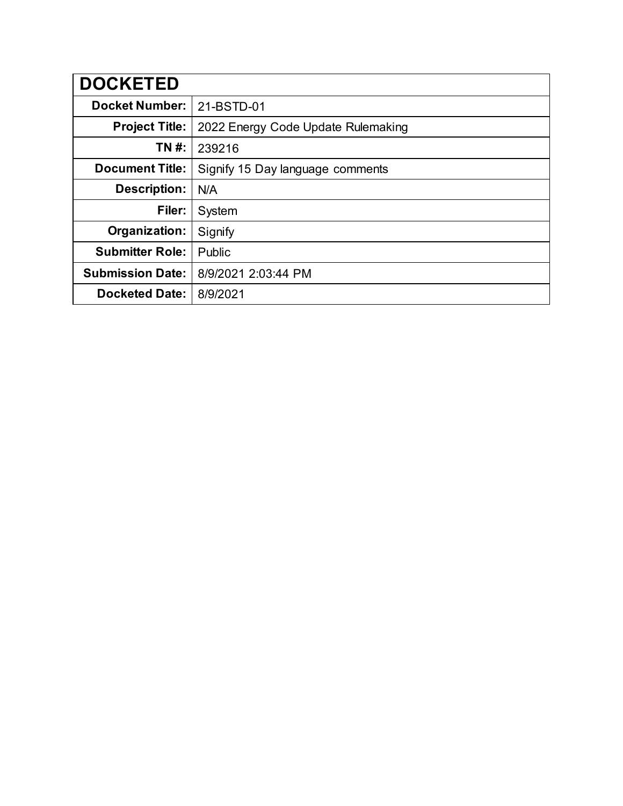| <b>DOCKETED</b>         |                                    |
|-------------------------|------------------------------------|
| <b>Docket Number:</b>   | 21-BSTD-01                         |
| <b>Project Title:</b>   | 2022 Energy Code Update Rulemaking |
| TN #:                   | 239216                             |
| <b>Document Title:</b>  | Signify 15 Day language comments   |
| <b>Description:</b>     | N/A                                |
| Filer:                  | System                             |
| Organization:           | Signify                            |
| <b>Submitter Role:</b>  | Public                             |
| <b>Submission Date:</b> | 8/9/2021 2:03:44 PM                |
| <b>Docketed Date:</b>   | 8/9/2021                           |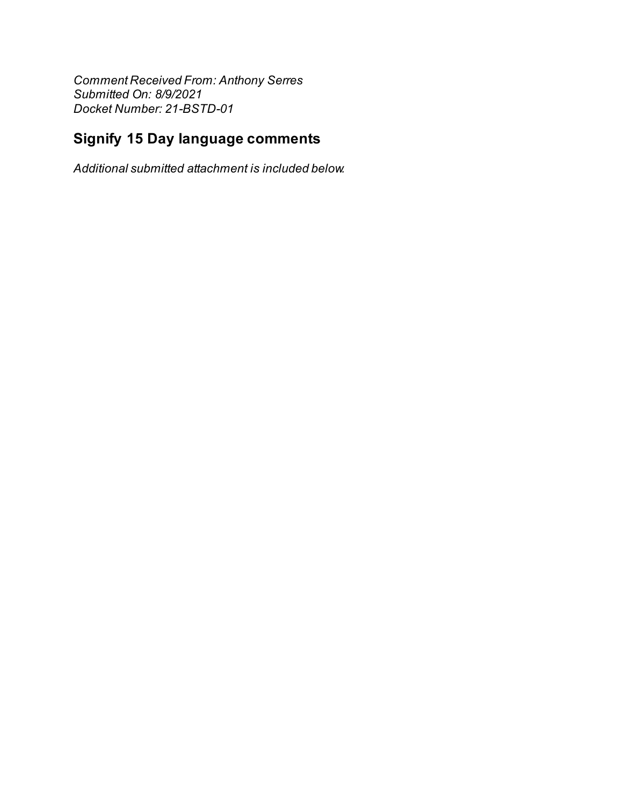**Comment Received From: Anthony Serres** Submitted On: 8/9/2021 Docket Number: 21-BSTD-01

## **Signify 15 Day language comments**

Additional submitted attachment is included below.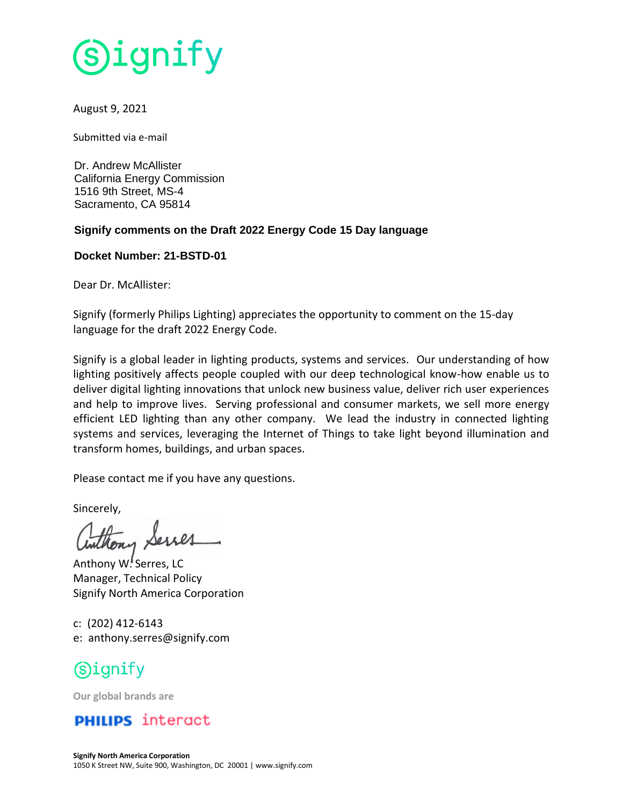

### August 9, 2021

Submitted via e-mail

Dr. Andrew McAllister California Energy Commission 1516 9th Street, MS-4 Sacramento, CA 95814

### **Signify comments on the Draft 2022 Energy Code 15 Day language**

#### **Docket Number: 21-BSTD-01**

Dear Dr. McAllister:

Signify (formerly Philips Lighting) appreciates the opportunity to comment on the 15-day language for the draft 2022 Energy Code.

Signify is a global leader in lighting products, systems and services. Our understanding of how lighting positively affects people coupled with our deep technological know-how enable us to deliver digital lighting innovations that unlock new business value, deliver rich user experiences and help to improve lives. Serving professional and consumer markets, we sell more energy efficient LED lighting than any other company. We lead the industry in connected lighting systems and services, leveraging the Internet of Things to take light beyond illumination and transform homes, buildings, and urban spaces.

Please contact me if you have any questions.

Sincerely,

Anthony W. Serres, LC Manager, Technical Policy Signify North America Corporation

c: (202) 412-6143 e: anthony.serres@signify.com

# (S)ignify

**Our global brands are**

### **PHILIPS** interact